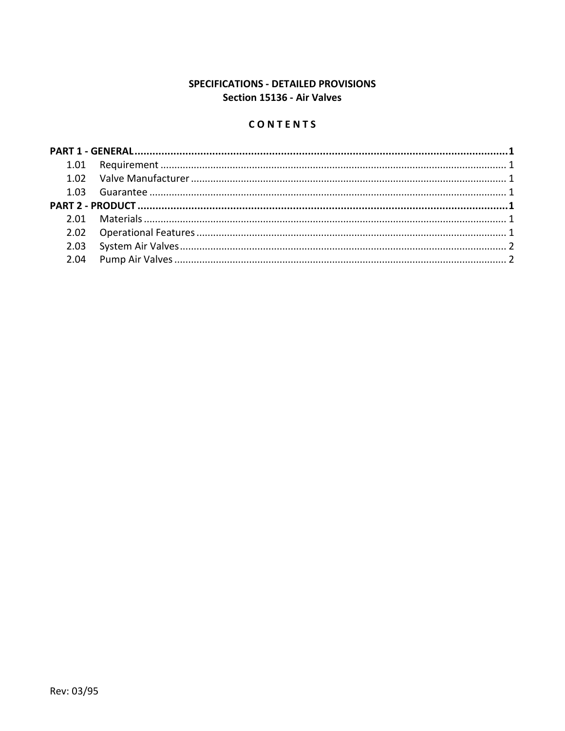## SPECIFICATIONS - DETAILED PROVISIONS Section 15136 - Air Valves

# CONTENTS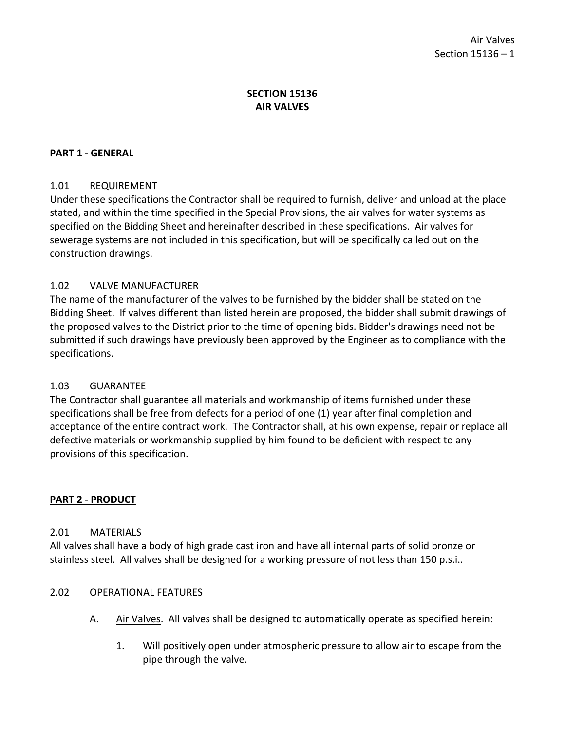## **SECTION 15136 AIR VALVES**

## <span id="page-2-0"></span>**PART 1 - GENERAL**

## <span id="page-2-1"></span>1.01 REQUIREMENT

Under these specifications the Contractor shall be required to furnish, deliver and unload at the place stated, and within the time specified in the Special Provisions, the air valves for water systems as specified on the Bidding Sheet and hereinafter described in these specifications. Air valves for sewerage systems are not included in this specification, but will be specifically called out on the construction drawings.

## <span id="page-2-2"></span>1.02 VALVE MANUFACTURER

The name of the manufacturer of the valves to be furnished by the bidder shall be stated on the Bidding Sheet. If valves different than listed herein are proposed, the bidder shall submit drawings of the proposed valves to the District prior to the time of opening bids. Bidder's drawings need not be submitted if such drawings have previously been approved by the Engineer as to compliance with the specifications.

#### <span id="page-2-3"></span>1.03 GUARANTEE

The Contractor shall guarantee all materials and workmanship of items furnished under these specifications shall be free from defects for a period of one (1) year after final completion and acceptance of the entire contract work. The Contractor shall, at his own expense, repair or replace all defective materials or workmanship supplied by him found to be deficient with respect to any provisions of this specification.

## <span id="page-2-4"></span>**PART 2 - PRODUCT**

## <span id="page-2-5"></span>2.01 MATERIALS

All valves shall have a body of high grade cast iron and have all internal parts of solid bronze or stainless steel. All valves shall be designed for a working pressure of not less than 150 p.s.i..

## <span id="page-2-6"></span>2.02 OPERATIONAL FEATURES

- A. Air Valves. All valves shall be designed to automatically operate as specified herein:
	- 1. Will positively open under atmospheric pressure to allow air to escape from the pipe through the valve.